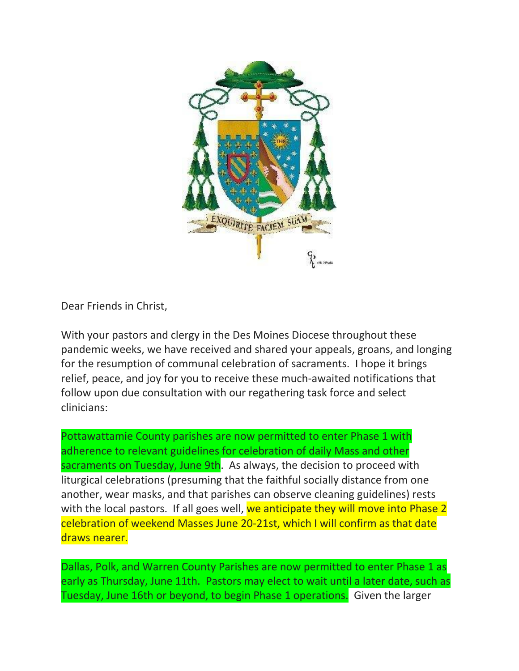

Dear Friends in Christ,

With your pastors and clergy in the Des Moines Diocese throughout these pandemic weeks, we have received and shared your appeals, groans, and longing for the resumption of communal celebration of sacraments. I hope it brings relief, peace, and joy for you to receive these much-awaited notifications that follow upon due consultation with our regathering task force and select clinicians:

Pottawattamie County parishes are now permitted to enter Phase 1 with adherence to relevant guidelines for celebration of daily Mass and other sacraments on Tuesday, June 9th. As always, the decision to proceed with liturgical celebrations (presuming that the faithful socially distance from one another, wear masks, and that parishes can observe cleaning guidelines) rests with the local pastors. If all goes well, we anticipate they will move into Phase 2 celebration of weekend Masses June 20-21st, which I will confirm as that date draws nearer.

Dallas, Polk, and Warren County Parishes are now permitted to enter Phase 1 as early as Thursday, June 11th. Pastors may elect to wait until a later date, such as Tuesday, June 16th or beyond, to begin Phase 1 operations. Given the larger